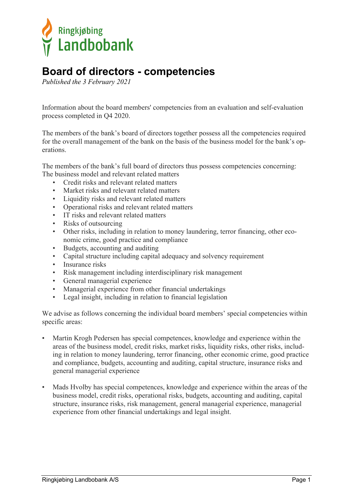

## **Board of directors - competencies**

*Published the 3 February 2021*

Information about the board members' competencies from an evaluation and self-evaluation process completed in Q4 2020.

The members of the bank's board of directors together possess all the competencies required for the overall management of the bank on the basis of the business model for the bank's operations.

The members of the bank's full board of directors thus possess competencies concerning: The business model and relevant related matters

- Credit risks and relevant related matters
- Market risks and relevant related matters
- Liquidity risks and relevant related matters
- Operational risks and relevant related matters
- IT risks and relevant related matters
- Risks of outsourcing
- Other risks, including in relation to money laundering, terror financing, other economic crime, good practice and compliance
- Budgets, accounting and auditing
- Capital structure including capital adequacy and solvency requirement
- Insurance risks
- Risk management including interdisciplinary risk management
- General managerial experience
- Managerial experience from other financial undertakings
- Legal insight, including in relation to financial legislation

We advise as follows concerning the individual board members' special competencies within specific areas:

- Martin Krogh Pedersen has special competences, knowledge and experience within the areas of the business model, credit risks, market risks, liquidity risks, other risks, including in relation to money laundering, terror financing, other economic crime, good practice and compliance, budgets, accounting and auditing, capital structure, insurance risks and general managerial experience
- Mads Hvolby has special competences, knowledge and experience within the areas of the business model, credit risks, operational risks, budgets, accounting and auditing, capital structure, insurance risks, risk management, general managerial experience, managerial experience from other financial undertakings and legal insight.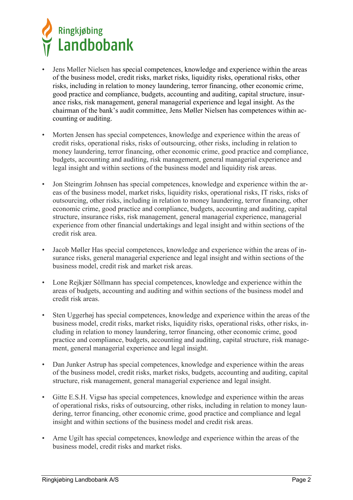

- Jens Møller Nielsen has special competences, knowledge and experience within the areas of the business model, credit risks, market risks, liquidity risks, operational risks, other risks, including in relation to money laundering, terror financing, other economic crime, good practice and compliance, budgets, accounting and auditing, capital structure, insurance risks, risk management, general managerial experience and legal insight. As the chairman of the bank's audit committee, Jens Møller Nielsen has competences within accounting or auditing.
- Morten Jensen has special competences, knowledge and experience within the areas of credit risks, operational risks, risks of outsourcing, other risks, including in relation to money laundering, terror financing, other economic crime, good practice and compliance, budgets, accounting and auditing, risk management, general managerial experience and legal insight and within sections of the business model and liquidity risk areas.
- Jon Steingrim Johnsen has special competences, knowledge and experience within the areas of the business model, market risks, liquidity risks, operational risks, IT risks, risks of outsourcing, other risks, including in relation to money laundering, terror financing, other economic crime, good practice and compliance, budgets, accounting and auditing, capital structure, insurance risks, risk management, general managerial experience, managerial experience from other financial undertakings and legal insight and within sections of the credit risk area.
- Jacob Møller Has special competences, knowledge and experience within the areas of insurance risks, general managerial experience and legal insight and within sections of the business model, credit risk and market risk areas.
- Lone Rejkjær Söllmann has special competences, knowledge and experience within the areas of budgets, accounting and auditing and within sections of the business model and credit risk areas.
- Sten Uggerhøj has special competences, knowledge and experience within the areas of the business model, credit risks, market risks, liquidity risks, operational risks, other risks, including in relation to money laundering, terror financing, other economic crime, good practice and compliance, budgets, accounting and auditing, capital structure, risk management, general managerial experience and legal insight.
- Dan Junker Astrup has special competences, knowledge and experience within the areas of the business model, credit risks, market risks, budgets, accounting and auditing, capital structure, risk management, general managerial experience and legal insight.
- Gitte E.S.H. Vigsø has special competences, knowledge and experience within the areas of operational risks, risks of outsourcing, other risks, including in relation to money laundering, terror financing, other economic crime, good practice and compliance and legal insight and within sections of the business model and credit risk areas.
- Arne Ugilt has special competences, knowledge and experience within the areas of the business model, credit risks and market risks.